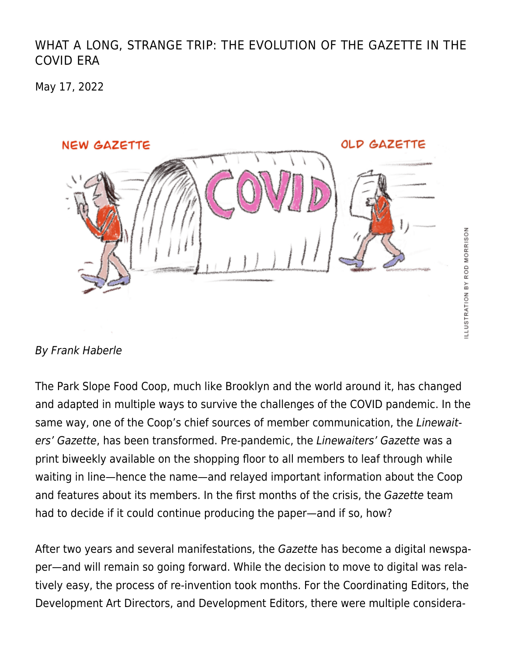#### [WHAT A LONG, STRANGE TRIP: THE EVOLUTION OF THE GAZETTE IN THE](https://linewaitersgazette.com/2022/05/17/what-a-long-strange-trip-the-evolution-of-the-gazette-in-the-covid-era/) [COVID ERA](https://linewaitersgazette.com/2022/05/17/what-a-long-strange-trip-the-evolution-of-the-gazette-in-the-covid-era/)

May 17, 2022



#### By Frank Haberle

The Park Slope Food Coop, much like Brooklyn and the world around it, has changed and adapted in multiple ways to survive the challenges of the COVID pandemic. In the same way, one of the Coop's chief sources of member communication, the Linewaiters' Gazette, has been transformed. Pre-pandemic, the Linewaiters' Gazette was a print biweekly available on the shopping floor to all members to leaf through while waiting in line—hence the name—and relayed important information about the Coop and features about its members. In the first months of the crisis, the Gazette team had to decide if it could continue producing the paper—and if so, how?

After two years and several manifestations, the Gazette has become a digital newspaper—and will remain so going forward. While the decision to move to digital was relatively easy, the process of re-invention took months. For the Coordinating Editors, the Development Art Directors, and Development Editors, there were multiple considera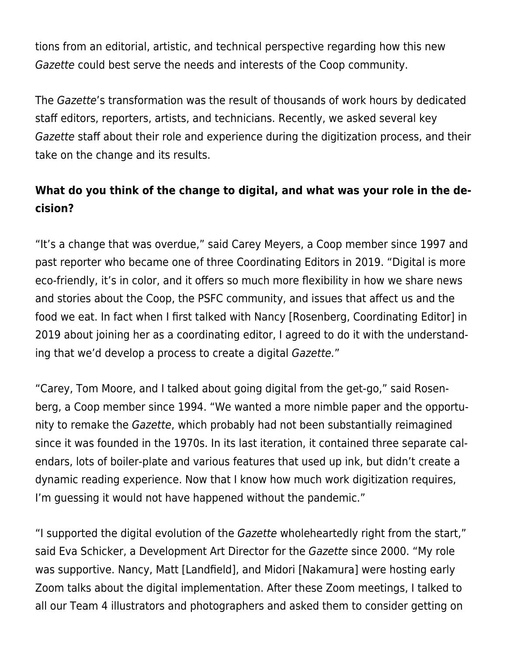tions from an editorial, artistic, and technical perspective regarding how this new Gazette could best serve the needs and interests of the Coop community.

The Gazette's transformation was the result of thousands of work hours by dedicated staff editors, reporters, artists, and technicians. Recently, we asked several key Gazette staff about their role and experience during the digitization process, and their take on the change and its results.

# **What do you think of the change to digital, and what was your role in the decision?**

"It's a change that was overdue," said Carey Meyers, a Coop member since 1997 and past reporter who became one of three Coordinating Editors in 2019. "Digital is more eco-friendly, it's in color, and it offers so much more flexibility in how we share news and stories about the Coop, the PSFC community, and issues that affect us and the food we eat. In fact when I first talked with Nancy [Rosenberg, Coordinating Editor] in 2019 about joining her as a coordinating editor, I agreed to do it with the understanding that we'd develop a process to create a digital Gazette."

"Carey, Tom Moore, and I talked about going digital from the get-go," said Rosenberg, a Coop member since 1994. "We wanted a more nimble paper and the opportunity to remake the Gazette, which probably had not been substantially reimagined since it was founded in the 1970s. In its last iteration, it contained three separate calendars, lots of boiler-plate and various features that used up ink, but didn't create a dynamic reading experience. Now that I know how much work digitization requires, I'm guessing it would not have happened without the pandemic."

"I supported the digital evolution of the Gazette wholeheartedly right from the start," said Eva Schicker, a Development Art Director for the Gazette since 2000. "My role was supportive. Nancy, Matt [Landfield], and Midori [Nakamura] were hosting early Zoom talks about the digital implementation. After these Zoom meetings, I talked to all our Team 4 illustrators and photographers and asked them to consider getting on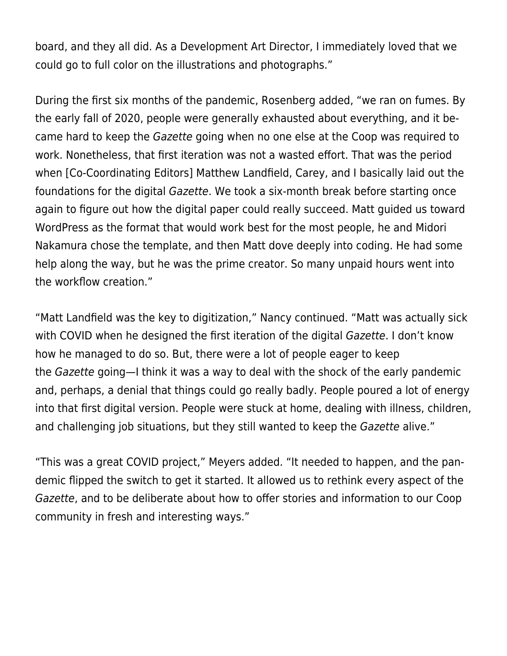board, and they all did. As a Development Art Director, I immediately loved that we could go to full color on the illustrations and photographs."

During the first six months of the pandemic, Rosenberg added, "we ran on fumes. By the early fall of 2020, people were generally exhausted about everything, and it became hard to keep the Gazette going when no one else at the Coop was required to work. Nonetheless, that first iteration was not a wasted effort. That was the period when [Co-Coordinating Editors] Matthew Landfield, Carey, and I basically laid out the foundations for the digital Gazette. We took a six-month break before starting once again to figure out how the digital paper could really succeed. Matt guided us toward WordPress as the format that would work best for the most people, he and Midori Nakamura chose the template, and then Matt dove deeply into coding. He had some help along the way, but he was the prime creator. So many unpaid hours went into the workflow creation."

"Matt Landfield was the key to digitization," Nancy continued. "Matt was actually sick with COVID when he designed the first iteration of the digital Gazette. I don't know how he managed to do so. But, there were a lot of people eager to keep the Gazette going—I think it was a way to deal with the shock of the early pandemic and, perhaps, a denial that things could go really badly. People poured a lot of energy into that first digital version. People were stuck at home, dealing with illness, children, and challenging job situations, but they still wanted to keep the Gazette alive."

"This was a great COVID project," Meyers added. "It needed to happen, and the pandemic flipped the switch to get it started. It allowed us to rethink every aspect of the Gazette, and to be deliberate about how to offer stories and information to our Coop community in fresh and interesting ways."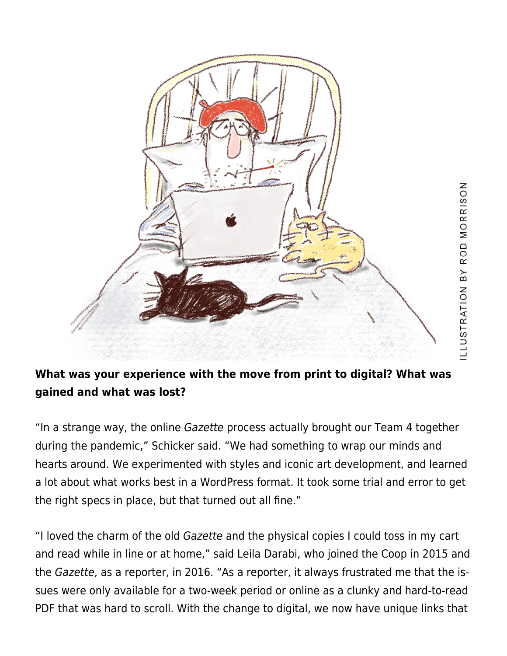

### **What was your experience with the move from print to digital? What was gained and what was lost?**

"In a strange way, the online Gazette process actually brought our Team 4 together during the pandemic," Schicker said. "We had something to wrap our minds and hearts around. We experimented with styles and iconic art development, and learned a lot about what works best in a WordPress format. It took some trial and error to get the right specs in place, but that turned out all fine."

"I loved the charm of the old Gazette and the physical copies I could toss in my cart and read while in line or at home," said Leila Darabi, who joined the Coop in 2015 and the Gazette, as a reporter, in 2016. "As a reporter, it always frustrated me that the issues were only available for a two-week period or online as a clunky and hard-to-read PDF that was hard to scroll. With the change to digital, we now have unique links that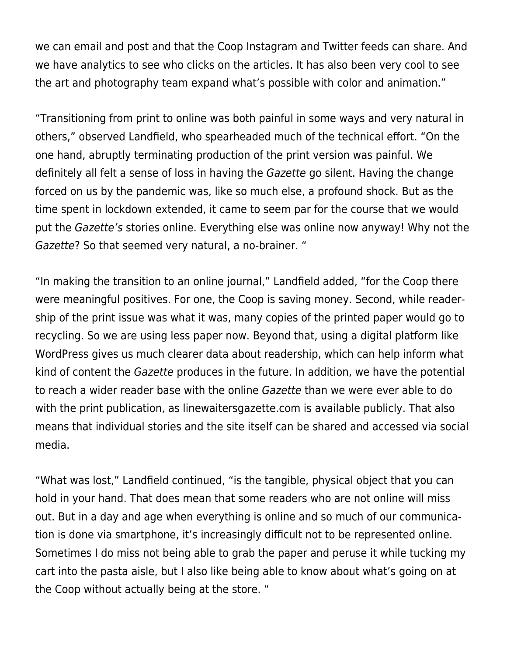we can email and post and that the Coop Instagram and Twitter feeds can share. And we have analytics to see who clicks on the articles. It has also been very cool to see the art and photography team expand what's possible with color and animation."

"Transitioning from print to online was both painful in some ways and very natural in others," observed Landfield, who spearheaded much of the technical effort. "On the one hand, abruptly terminating production of the print version was painful. We definitely all felt a sense of loss in having the Gazette go silent. Having the change forced on us by the pandemic was, like so much else, a profound shock. But as the time spent in lockdown extended, it came to seem par for the course that we would put the Gazette's stories online. Everything else was online now anyway! Why not the Gazette? So that seemed very natural, a no-brainer. "

"In making the transition to an online journal," Landfield added, "for the Coop there were meaningful positives. For one, the Coop is saving money. Second, while readership of the print issue was what it was, many copies of the printed paper would go to recycling. So we are using less paper now. Beyond that, using a digital platform like WordPress gives us much clearer data about readership, which can help inform what kind of content the Gazette produces in the future. In addition, we have the potential to reach a wider reader base with the online Gazette than we were ever able to do with the print publication, as [linewaitersgazette.com](http://linewaitersgazette.com/) is available publicly. That also means that individual stories and the site itself can be shared and accessed via social media.

"What was lost," Landfield continued, "is the tangible, physical object that you can hold in your hand. That does mean that some readers who are not online will miss out. But in a day and age when everything is online and so much of our communication is done via smartphone, it's increasingly difficult not to be represented online. Sometimes I do miss not being able to grab the paper and peruse it while tucking my cart into the pasta aisle, but I also like being able to know about what's going on at the Coop without actually being at the store. "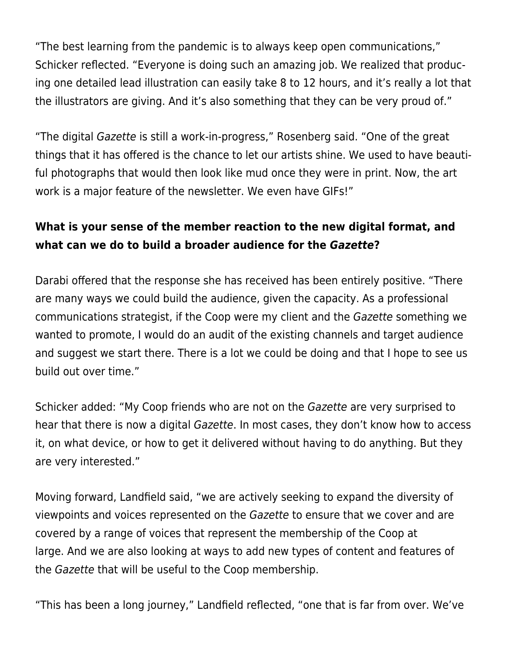"The best learning from the pandemic is to always keep open communications," Schicker reflected. "Everyone is doing such an amazing job. We realized that producing one detailed lead illustration can easily take 8 to 12 hours, and it's really a lot that the illustrators are giving. And it's also something that they can be very proud of."

"The digital Gazette is still a work-in-progress," Rosenberg said. "One of the great things that it has offered is the chance to let our artists shine. We used to have beautiful photographs that would then look like mud once they were in print. Now, the art work is a major feature of the newsletter. We even have GIFs!"

# **What is your sense of the member reaction to the new digital format, and what can we do to build a broader audience for the** *Gazette***?**

Darabi offered that the response she has received has been entirely positive. "There are many ways we could build the audience, given the capacity. As a professional communications strategist, if the Coop were my client and the Gazette something we wanted to promote, I would do an audit of the existing channels and target audience and suggest we start there. There is a lot we could be doing and that I hope to see us build out over time."

Schicker added: "My Coop friends who are not on the Gazette are very surprised to hear that there is now a digital Gazette. In most cases, they don't know how to access it, on what device, or how to get it delivered without having to do anything. But they are very interested."

Moving forward, Landfield said, "we are actively seeking to expand the diversity of viewpoints and voices represented on the Gazette to ensure that we cover and are covered by a range of voices that represent the membership of the Coop at large. And we are also looking at ways to add new types of content and features of the Gazette that will be useful to the Coop membership.

"This has been a long journey," Landfield reflected, "one that is far from over. We've